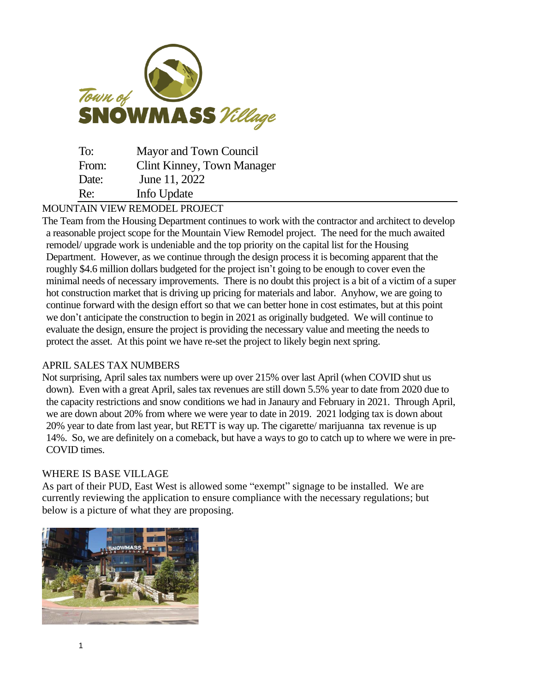

| To:   | Mayor and Town Council            |
|-------|-----------------------------------|
| From: | <b>Clint Kinney, Town Manager</b> |
| Date: | June 11, 2022                     |
| Re:   | Info Update                       |

# MOUNTAIN VIEW REMODEL PROJECT

The Team from the Housing Department continues to work with the contractor and architect to develop a reasonable project scope for the Mountain View Remodel project. The need for the much awaited remodel/ upgrade work is undeniable and the top priority on the capital list for the Housing Department. However, as we continue through the design process it is becoming apparent that the roughly \$4.6 million dollars budgeted for the project isn't going to be enough to cover even the minimal needs of necessary improvements. There is no doubt this project is a bit of a victim of a super hot construction market that is driving up pricing for materials and labor. Anyhow, we are going to continue forward with the design effort so that we can better hone in cost estimates, but at this point we don't anticipate the construction to begin in 2021 as originally budgeted. We will continue to evaluate the design, ensure the project is providing the necessary value and meeting the needs to protect the asset. At this point we have re-set the project to likely begin next spring.

## APRIL SALES TAX NUMBERS

Not surprising, April sales tax numbers were up over 215% over last April (when COVID shut us down). Even with a great April, sales tax revenues are still down 5.5% year to date from 2020 due to the capacity restrictions and snow conditions we had in Janaury and February in 2021. Through April, we are down about 20% from where we were year to date in 2019. 2021 lodging tax is down about 20% year to date from last year, but RETT is way up. The cigarette/ marijuanna tax revenue is up 14%. So, we are definitely on a comeback, but have a ways to go to catch up to where we were in pre-COVID times.

## WHERE IS BASE VILLAGE

As part of their PUD, East West is allowed some "exempt" signage to be installed. We are currently reviewing the application to ensure compliance with the necessary regulations; but below is a picture of what they are proposing.